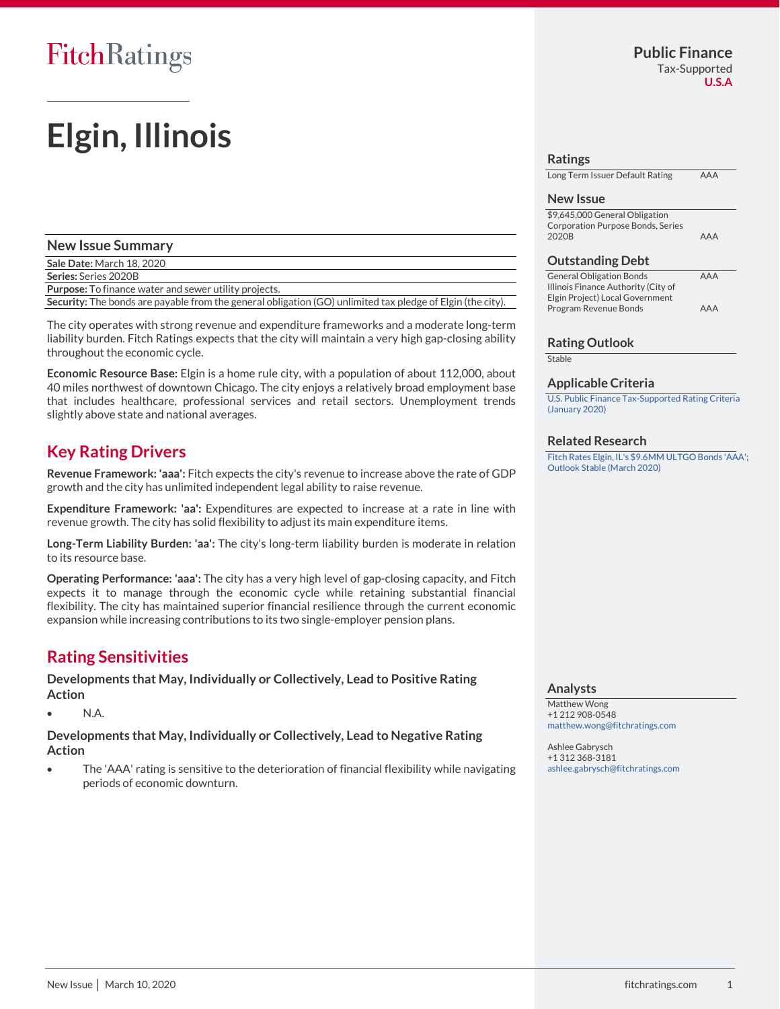# **Elgin, Illinois**

### **New Issue Summary Sale Date:** March 18, 2020 **Series:** Series 2020B **Purpose:** To finance water and sewer utility projects.

**Security:** The bonds are payable from the general obligation (GO) unlimited tax pledge of Elgin (the city).

The city operates with strong revenue and expenditure frameworks and a moderate long-term liability burden. Fitch Ratings expects that the city will maintain a very high gap-closing ability throughout the economic cycle.

**Economic Resource Base:** Elgin is a home rule city, with a population of about 112,000, about 40 miles northwest of downtown Chicago. The city enjoys a relatively broad employment base that includes healthcare, professional services and retail sectors. Unemployment trends slightly above state and national averages.

### **Key Rating Drivers**

**Revenue Framework: 'aaa':** Fitch expects the city's revenue to increase above the rate of GDP growth and the city has unlimited independent legal ability to raise revenue.

**Expenditure Framework: 'aa':** Expenditures are expected to increase at a rate in line with revenue growth. The city has solid flexibility to adjust its main expenditure items.

**Long-Term Liability Burden: 'aa':** The city's long-term liability burden is moderate in relation to its resource base.

**Operating Performance: 'aaa':** The city has a very high level of gap-closing capacity, and Fitch expects it to manage through the economic cycle while retaining substantial financial flexibility. The city has maintained superior financial resilience through the current economic expansion while increasing contributions to its two single-employer pension plans.

### **Rating Sensitivities**

**Developments that May, Individually or Collectively, Lead to Positive Rating Action**

• N.A.

**Developments that May, Individually or Collectively, Lead to Negative Rating Action**

• The 'AAA' rating is sensitive to the deterioration of financial flexibility while navigating periods of economic downturn.

#### **Ratings**

Long Term Issuer Default Rating AAA

#### **New Issue**

\$9,645,000 General Obligation Corporation Purpose Bonds, Series 2020B AAA

#### **Outstanding Debt**

General Obligation Bonds **AAA** Illinois Finance Authority (City of Elgin Project) Local Government Program Revenue Bonds AAA

#### **Rating Outlook**

**Stable** 

#### **Applicable Criteria**

[U.S. Public Finance Tax-Supported Rating Criteria](https://app.fitchconnect.com/search/research/article/RPT_966303)  [\(January 2020\)](https://app.fitchconnect.com/search/research/article/RPT_966303)

#### **Related Research**

Fitch Rates Elgin, [IL's \\$9.6MM ULTGO Bonds 'AAA';](https://app.fitchconnect.com/search/research/article/PR_10113375)  [Outlook Stable \(March 2020\)](https://app.fitchconnect.com/search/research/article/PR_10113375)

#### **Analysts**

Matthew Wong +1 212 908-0548 [matthew.wong@fitchratings.com](mailto:matthew.wong@fitchratings.com)

Ashlee Gabrysch +1 312 368-3181 [ashlee.gabrysch@fitchratings.com](mailto:ashlee.gabrysch@fitchratings.com)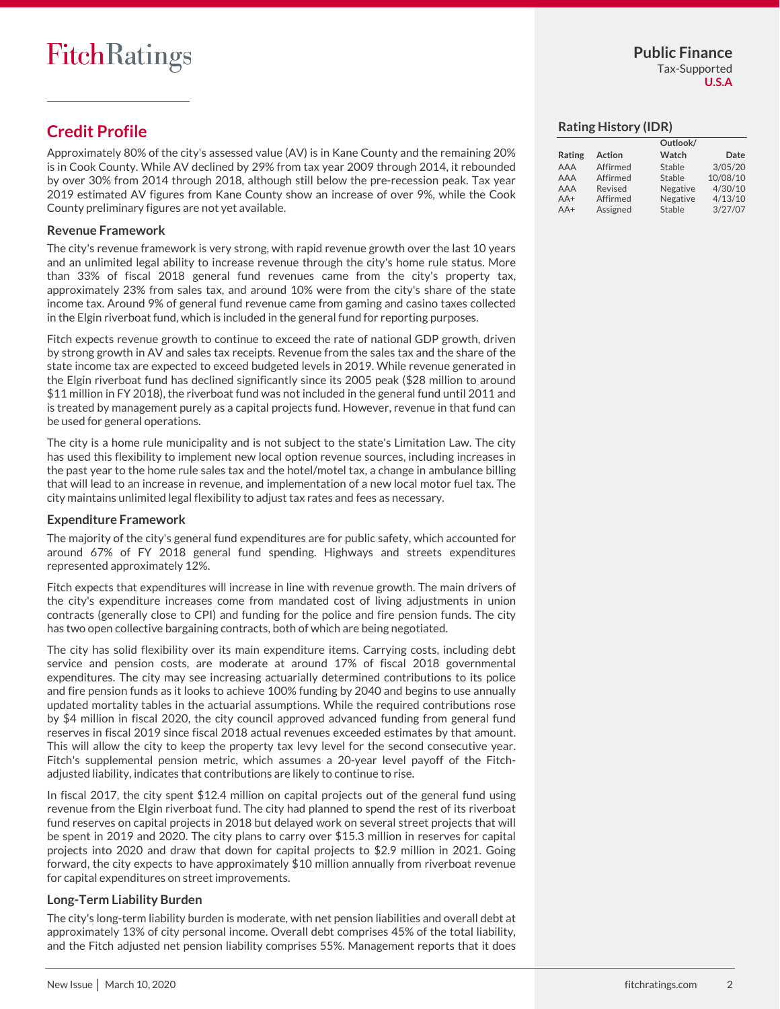### **U.S.A**

### **Credit Profile**

Approximately 80% of the city's assessed value (AV) is in Kane County and the remaining 20% is in Cook County. While AV declined by 29% from tax year 2009 through 2014, it rebounded by over 30% from 2014 through 2018, although still below the pre-recession peak. Tax year 2019 estimated AV figures from Kane County show an increase of over 9%, while the Cook County preliminary figures are not yet available.

### **Revenue Framework**

The city's revenue framework is very strong, with rapid revenue growth over the last 10 years and an unlimited legal ability to increase revenue through the city's home rule status. More than 33% of fiscal 2018 general fund revenues came from the city's property tax, approximately 23% from sales tax, and around 10% were from the city's share of the state income tax. Around 9% of general fund revenue came from gaming and casino taxes collected in the Elgin riverboat fund, which is included in the general fund for reporting purposes.

Fitch expects revenue growth to continue to exceed the rate of national GDP growth, driven by strong growth in AV and sales tax receipts. Revenue from the sales tax and the share of the state income tax are expected to exceed budgeted levels in 2019. While revenue generated in the Elgin riverboat fund has declined significantly since its 2005 peak (\$28 million to around \$11 million in FY 2018), the riverboat fund was not included in the general fund until 2011 and is treated by management purely as a capital projects fund. However, revenue in that fund can be used for general operations.

The city is a home rule municipality and is not subject to the state's Limitation Law. The city has used this flexibility to implement new local option revenue sources, including increases in the past year to the home rule sales tax and the hotel/motel tax, a change in ambulance billing that will lead to an increase in revenue, and implementation of a new local motor fuel tax. The city maintains unlimited legal flexibility to adjust tax rates and fees as necessary.

### **Expenditure Framework**

The majority of the city's general fund expenditures are for public safety, which accounted for around 67% of FY 2018 general fund spending. Highways and streets expenditures represented approximately 12%.

Fitch expects that expenditures will increase in line with revenue growth. The main drivers of the city's expenditure increases come from mandated cost of living adjustments in union contracts (generally close to CPI) and funding for the police and fire pension funds. The city has two open collective bargaining contracts, both of which are being negotiated.

The city has solid flexibility over its main expenditure items. Carrying costs, including debt service and pension costs, are moderate at around 17% of fiscal 2018 governmental expenditures. The city may see increasing actuarially determined contributions to its police and fire pension funds as it looks to achieve 100% funding by 2040 and begins to use annually updated mortality tables in the actuarial assumptions. While the required contributions rose by \$4 million in fiscal 2020, the city council approved advanced funding from general fund reserves in fiscal 2019 since fiscal 2018 actual revenues exceeded estimates by that amount. This will allow the city to keep the property tax levy level for the second consecutive year. Fitch's supplemental pension metric, which assumes a 20-year level payoff of the Fitchadjusted liability, indicates that contributions are likely to continue to rise.

In fiscal 2017, the city spent \$12.4 million on capital projects out of the general fund using revenue from the Elgin riverboat fund. The city had planned to spend the rest of its riverboat fund reserves on capital projects in 2018 but delayed work on several street projects that will be spent in 2019 and 2020. The city plans to carry over \$15.3 million in reserves for capital projects into 2020 and draw that down for capital projects to \$2.9 million in 2021. Going forward, the city expects to have approximately \$10 million annually from riverboat revenue for capital expenditures on street improvements.

### **Long-Term Liability Burden**

The city's long-term liability burden is moderate, with net pension liabilities and overall debt at approximately 13% of city personal income. Overall debt comprises 45% of the total liability, and the Fitch adjusted net pension liability comprises 55%. Management reports that it does

### **Rating History (IDR)**

|        |               | Outlook/ |          |
|--------|---------------|----------|----------|
| Rating | <b>Action</b> | Watch    | Date     |
| AAA    | Affirmed      | Stable   | 3/05/20  |
| AAA    | Affirmed      | Stable   | 10/08/10 |
| AAA    | Revised       | Negative | 4/30/10  |
| $AA+$  | Affirmed      | Negative | 4/13/10  |
| $AA+$  | Assigned      | Stable   | 3/27/07  |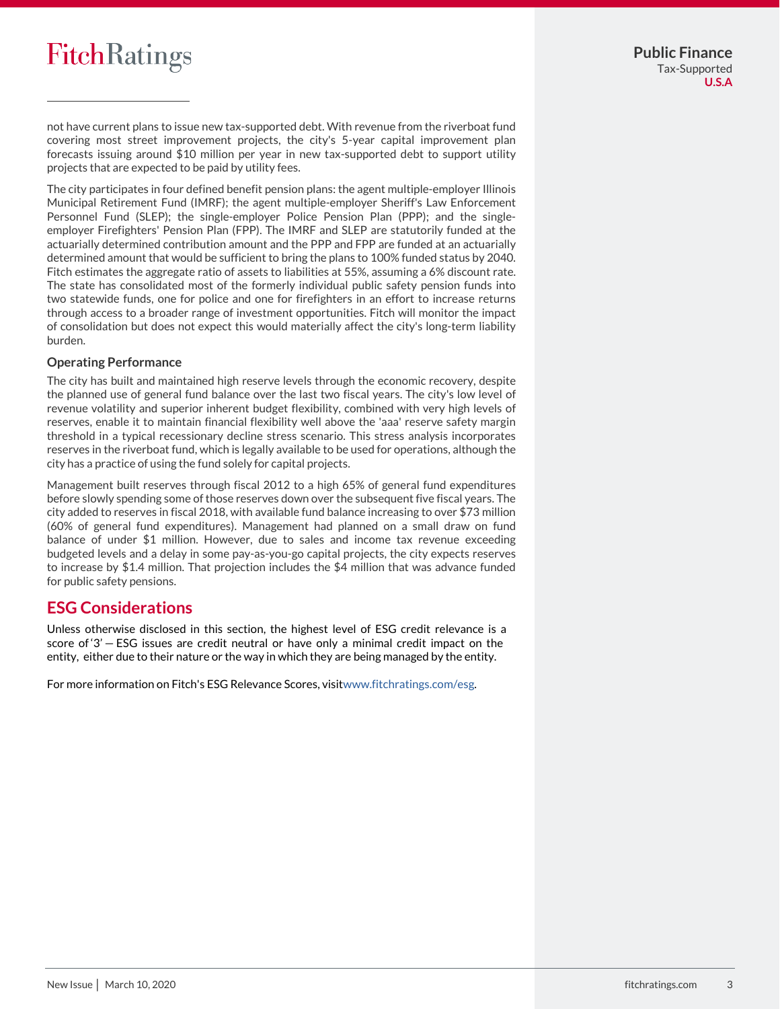not have current plans to issue new tax-supported debt. With revenue from the riverboat fund covering most street improvement projects, the city's 5-year capital improvement plan forecasts issuing around \$10 million per year in new tax-supported debt to support utility projects that are expected to be paid by utility fees.

The city participates in four defined benefit pension plans: the agent multiple-employer Illinois Municipal Retirement Fund (IMRF); the agent multiple-employer Sheriff's Law Enforcement Personnel Fund (SLEP); the single-employer Police Pension Plan (PPP); and the singleemployer Firefighters' Pension Plan (FPP). The IMRF and SLEP are statutorily funded at the actuarially determined contribution amount and the PPP and FPP are funded at an actuarially determined amount that would be sufficient to bring the plans to 100% funded status by 2040. Fitch estimates the aggregate ratio of assets to liabilities at 55%, assuming a 6% discount rate. The state has consolidated most of the formerly individual public safety pension funds into two statewide funds, one for police and one for firefighters in an effort to increase returns through access to a broader range of investment opportunities. Fitch will monitor the impact of consolidation but does not expect this would materially affect the city's long-term liability burden.

### **Operating Performance**

The city has built and maintained high reserve levels through the economic recovery, despite the planned use of general fund balance over the last two fiscal years. The city's low level of revenue volatility and superior inherent budget flexibility, combined with very high levels of reserves, enable it to maintain financial flexibility well above the 'aaa' reserve safety margin threshold in a typical recessionary decline stress scenario. This stress analysis incorporates reserves in the riverboat fund, which is legally available to be used for operations, although the city has a practice of using the fund solely for capital projects.

Management built reserves through fiscal 2012 to a high 65% of general fund expenditures before slowly spending some of those reserves down over the subsequent five fiscal years. The city added to reserves in fiscal 2018, with available fund balance increasing to over \$73 million (60% of general fund expenditures). Management had planned on a small draw on fund balance of under \$1 million. However, due to sales and income tax revenue exceeding budgeted levels and a delay in some pay-as-you-go capital projects, the city expects reserves to increase by \$1.4 million. That projection includes the \$4 million that was advance funded for public safety pensions.

### **ESG Considerations**

Unless otherwise disclosed in this section, the highest level of ESG credit relevance is a score of '3' - ESG issues are credit neutral or have only a minimal credit impact on the entity, either due to their nature or the way in which they are being managed by the entity.

For more information on Fitch's ESG Relevance Scores, visi[twww.fitchratings.com/esg.](https://www.fitchratings.com/site/esg)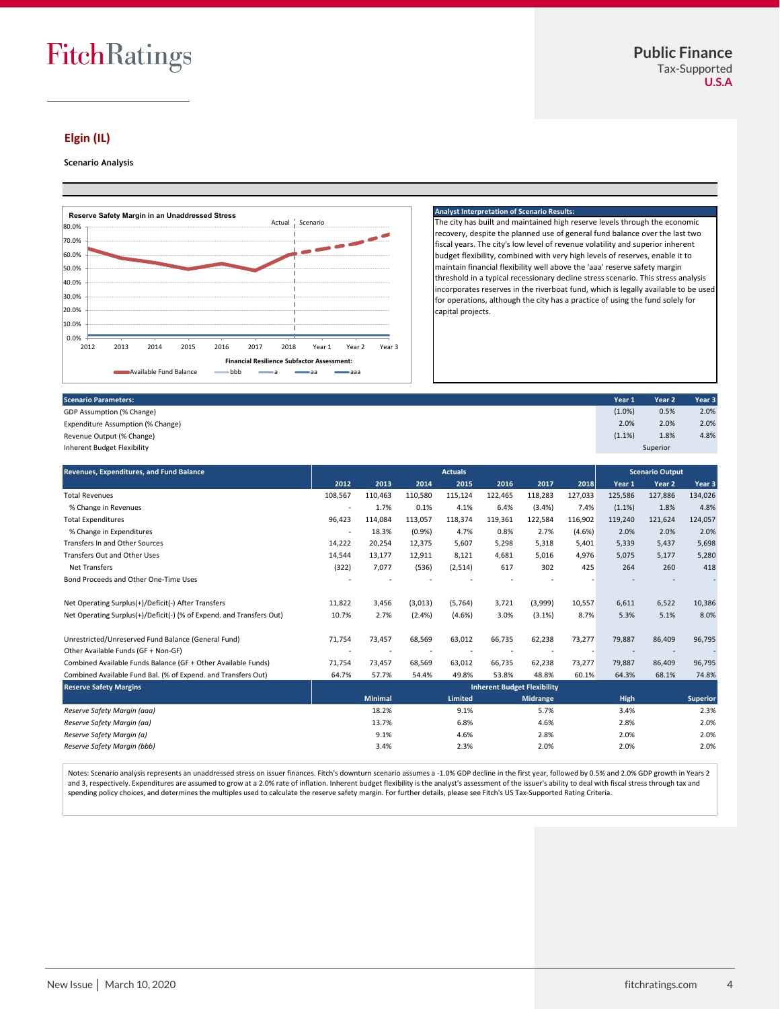Superior

### **Elgin (IL)**

#### **Scenario Analysis**



#### **Analyst Interpretation of Scenario Results:**

The city has built and maintained high reserve levels through the economic recovery, despite the planned use of general fund balance over the last two fiscal years. The city's low level of revenue volatility and superior inherent budget flexibility, combined with very high levels of reserves, enable it to maintain financial flexibility well above the 'aaa' reserve safety margin threshold in a typical recessionary decline stress scenario. This stress analysis incorporates reserves in the riverboat fund, which is legally available to be used for operations, although the city has a practice of using the fund solely for capital projects.

GDP Assumption (% Change) (1.0%) 0.5% 2.0% Expenditure Assumption (% Change) 2.0% 2.0% 2.0% Revenue Output (% Change) and the content of the content of the content of the content of the content of the content of the content of the content of the content of the content of the content of the content of the content

Inherent Budget Flexibility

| Revenues, Expenditures, and Fund Balance                             |                                    | <b>Actuals</b> |           |         |         |                 |         | <b>Scenario Output</b> |                   |                   |
|----------------------------------------------------------------------|------------------------------------|----------------|-----------|---------|---------|-----------------|---------|------------------------|-------------------|-------------------|
|                                                                      | 2012                               | 2013           | 2014      | 2015    | 2016    | 2017            | 2018    | Year 1                 | Year <sub>2</sub> | Year <sub>3</sub> |
| <b>Total Revenues</b>                                                |                                    | 110,463        | 110,580   | 115,124 | 122,465 | 118,283         | 127,033 | 125,586                | 127,886           | 134,026           |
| % Change in Revenues                                                 |                                    | 1.7%           | 0.1%      | 4.1%    | 6.4%    | (3.4% )         | 7.4%    | (1.1%)                 | 1.8%              | 4.8%              |
| <b>Total Expenditures</b>                                            |                                    | 114,084        | 113,057   | 118,374 | 119,361 | 122,584         | 116,902 | 119,240                | 121,624           | 124,057           |
| % Change in Expenditures                                             |                                    | 18.3%          | (0.9%     | 4.7%    | 0.8%    | 2.7%            | (4.6%)  | 2.0%                   | 2.0%              | 2.0%              |
| Transfers In and Other Sources                                       | 14,222                             | 20,254         | 12,375    | 5,607   | 5,298   | 5,318           | 5,401   | 5,339                  | 5,437             | 5,698             |
| Transfers Out and Other Uses                                         | 14,544                             | 13,177         | 12,911    | 8,121   | 4,681   | 5,016           | 4,976   | 5,075                  | 5.177             | 5,280             |
| <b>Net Transfers</b>                                                 | (322)                              | 7,077          | (536)     | (2,514) | 617     | 302             | 425     | 264                    | 260               | 418               |
| Bond Proceeds and Other One-Time Uses                                |                                    |                |           |         |         |                 |         |                        |                   |                   |
| Net Operating Surplus(+)/Deficit(-) After Transfers                  | 11,822                             | 3,456          | (3,013)   | (5,764) | 3,721   | (3,999)         | 10,557  | 6,611                  | 6,522             | 10,386            |
| Net Operating Surplus(+)/Deficit(-) (% of Expend. and Transfers Out) | 10.7%                              | 2.7%           | $(2.4\%)$ | (4.6%)  | 3.0%    | (3.1%)          | 8.7%    | 5.3%                   | 5.1%              | 8.0%              |
| Unrestricted/Unreserved Fund Balance (General Fund)                  | 71,754                             | 73,457         | 68,569    | 63,012  | 66,735  | 62,238          | 73,277  | 79,887                 | 86,409            | 96,795            |
| Other Available Funds (GF + Non-GF)                                  |                                    |                |           |         |         |                 |         |                        |                   |                   |
| Combined Available Funds Balance (GF + Other Available Funds)        |                                    | 73,457         | 68,569    | 63,012  | 66,735  | 62,238          | 73,277  | 79,887                 | 86,409            | 96,795            |
| Combined Available Fund Bal. (% of Expend. and Transfers Out)        | 64.7%                              | 57.7%          | 54.4%     | 49.8%   | 53.8%   | 48.8%           | 60.1%   | 64.3%                  | 68.1%             | 74.8%             |
| <b>Reserve Safety Margins</b>                                        | <b>Inherent Budget Flexibility</b> |                |           |         |         |                 |         |                        |                   |                   |
|                                                                      |                                    | <b>Minimal</b> |           | Limited |         | <b>Midrange</b> |         | <b>High</b>            |                   | <b>Superior</b>   |
| Reserve Safety Margin (aaa)                                          |                                    | 18.2%          |           | 9.1%    |         | 5.7%            |         | 3.4%                   |                   | 2.3%              |
| Reserve Safety Margin (aa)                                           |                                    | 13.7%          |           | 6.8%    |         | 4.6%            |         | 2.8%                   |                   | 2.0%              |
| Reserve Safety Margin (a)                                            |                                    | 9.1%           |           | 4.6%    |         | 2.8%            |         | 2.0%                   |                   | 2.0%              |
| Reserve Safety Margin (bbb)                                          |                                    | 3.4%           |           | 2.3%    |         | 2.0%            |         | 2.0%                   |                   | 2.0%              |

Notes: Scenario analysis represents an unaddressed stress on issuer finances. Fitch's downturn scenario assumes a -1.0% GDP decline in the first year, followed by 0.5% and 2.0% GDP growth in Years 2 and 3, respectively. Expenditures are assumed to grow at a 2.0% rate of inflation. Inherent budget flexibility is the analyst's assessment of the issuer's ability to deal with fiscal stress through tax and spending policy choices, and determines the multiples used to calculate the reserve safety margin. For further details, please see Fitch's US Tax-Supported Rating Criteria.